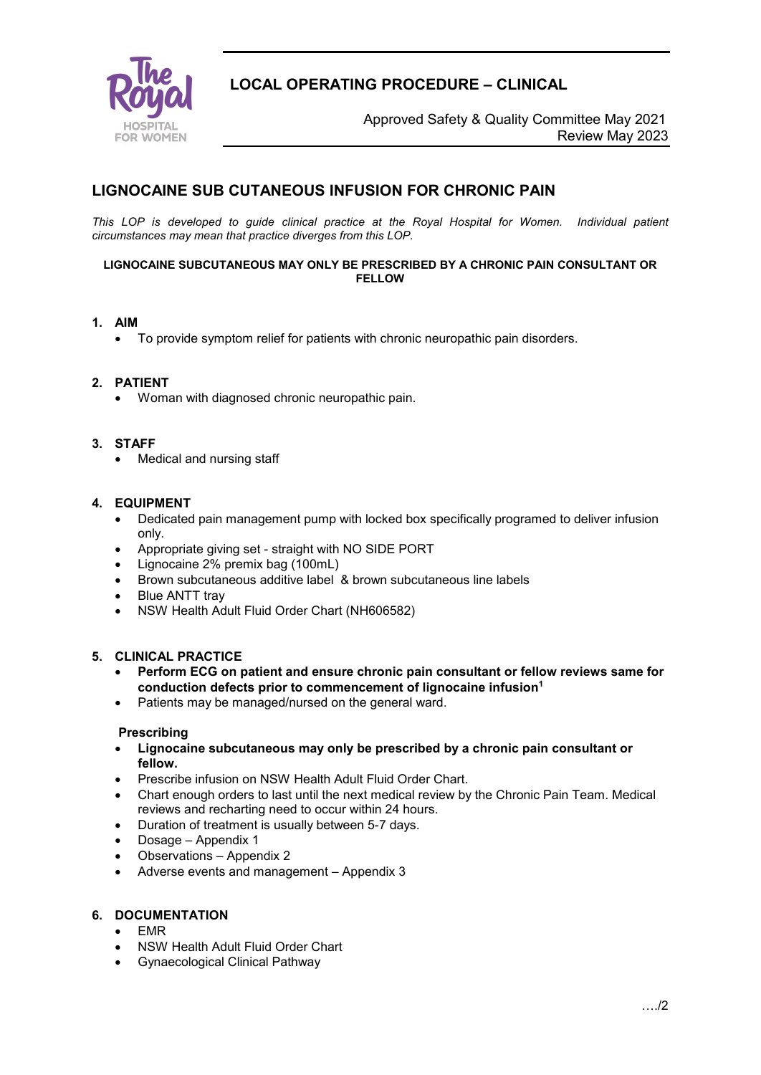

**LOCAL OPERATING PROCEDURE – CLINICAL**

 Approved Safety & Quality Committee May 2021 Review May 2023

# **LIGNOCAINE SUB CUTANEOUS INFUSION FOR CHRONIC PAIN**

*This LOP is developed to guide clinical practice at the Royal Hospital for Women. Individual patient circumstances may mean that practice diverges from this LOP.*

#### **LIGNOCAINE SUBCUTANEOUS MAY ONLY BE PRESCRIBED BY A CHRONIC PAIN CONSULTANT OR FELLOW**

#### **1. AIM**

• To provide symptom relief for patients with chronic neuropathic pain disorders.

#### **2. PATIENT**

• Woman with diagnosed chronic neuropathic pain.

#### **3. STAFF**

• Medical and nursing staff

#### **4. EQUIPMENT**

- Dedicated pain management pump with locked box specifically programed to deliver infusion only.
- Appropriate giving set straight with NO SIDE PORT
- Lignocaine 2% premix bag (100mL)
- Brown subcutaneous additive label & brown subcutaneous line labels
- Blue ANTT tray
- NSW Health Adult Fluid Order Chart (NH606582)

#### **5. CLINICAL PRACTICE**

- **Perform ECG on patient and ensure chronic pain consultant or fellow reviews same for conduction defects prior to commencement of lignocaine infusion1**
- Patients may be managed/nursed on the general ward.

#### **Prescribing**

- **Lignocaine subcutaneous may only be prescribed by a chronic pain consultant or fellow.**
- Prescribe infusion on NSW Health Adult Fluid Order Chart.
- Chart enough orders to last until the next medical review by the Chronic Pain Team. Medical reviews and recharting need to occur within 24 hours.
- Duration of treatment is usually between 5-7 days.
- Dosage Appendix 1
- Observations Appendix 2
- Adverse events and management Appendix 3

#### **6. DOCUMENTATION**

- EMR
- NSW Health Adult Fluid Order Chart
- Gynaecological Clinical Pathway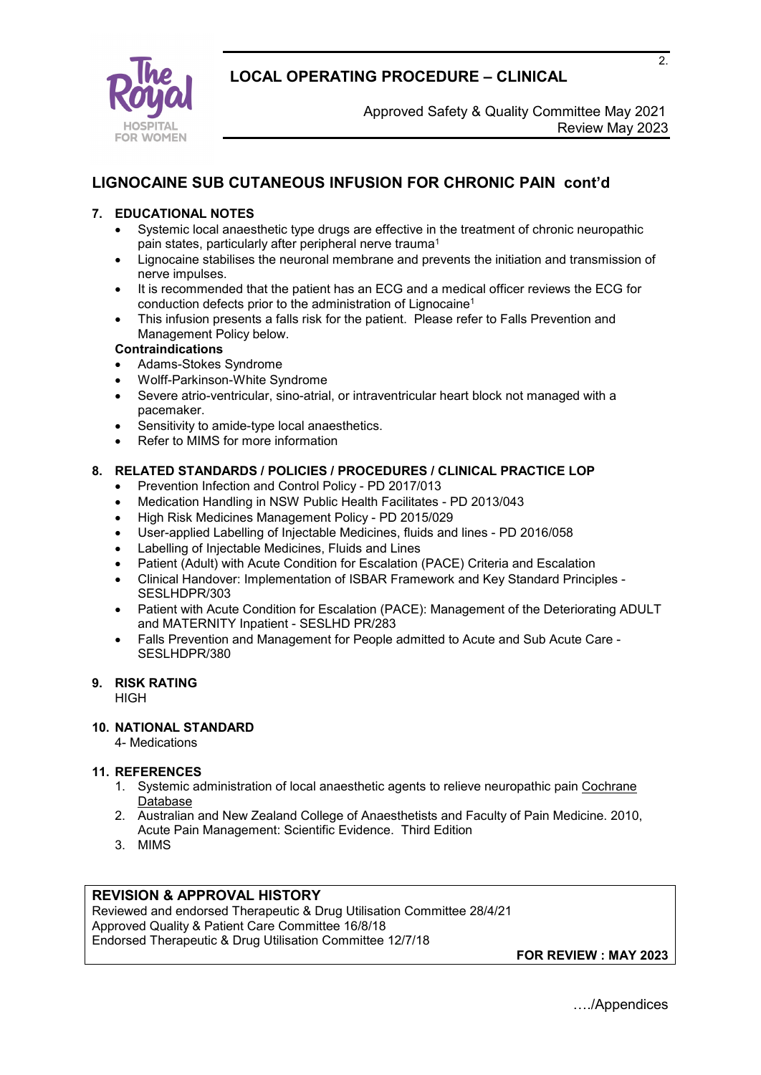



# **LIGNOCAINE SUB CUTANEOUS INFUSION FOR CHRONIC PAIN cont'd**

## **7. EDUCATIONAL NOTES**

- Systemic local anaesthetic type drugs are effective in the treatment of chronic neuropathic pain states, particularly after peripheral nerve trauma1
- Lignocaine stabilises the neuronal membrane and prevents the initiation and transmission of nerve impulses.
- It is recommended that the patient has an ECG and a medical officer reviews the ECG for conduction defects prior to the administration of Lignocaine1
- This infusion presents a falls risk for the patient. Please refer to Falls Prevention and Management Policy below.

#### **Contraindications**

- Adams-Stokes Syndrome
- Wolff-Parkinson-White Syndrome
- Severe atrio-ventricular, sino-atrial, or intraventricular heart block not managed with a pacemaker.
- Sensitivity to amide-type local anaesthetics.
- Refer to MIMS for more information

#### **8. RELATED STANDARDS / POLICIES / PROCEDURES / CLINICAL PRACTICE LOP**

- Prevention Infection and Control Policy PD 2017/013
- Medication Handling in NSW Public Health Facilitates PD 2013/043
- High Risk Medicines Management Policy PD 2015/029
- User-applied Labelling of Injectable Medicines, fluids and lines PD 2016/058
- Labelling of Injectable Medicines, Fluids and Lines
- Patient (Adult) with Acute Condition for Escalation (PACE) Criteria and Escalation
- Clinical Handover: Implementation of ISBAR Framework and Key Standard Principles SESLHDPR/303
- Patient with Acute Condition for Escalation (PACE): Management of the Deteriorating ADULT and MATERNITY Inpatient - SESLHD PR/283
- Falls Prevention and Management for People admitted to Acute and Sub Acute Care SESLHDPR/380

## **9. RISK RATING**

**HIGH** 

#### **10. NATIONAL STANDARD**

4- Medications

#### **11. REFERENCES**

- 1. Systemic administration of local anaesthetic agents to relieve neuropathic pain Cochrane Database
- 2. Australian and New Zealand College of Anaesthetists and Faculty of Pain Medicine. 2010, Acute Pain Management: Scientific Evidence. Third Edition
- 3. MIMS

## **REVISION & APPROVAL HISTORY**

Reviewed and endorsed Therapeutic & Drug Utilisation Committee 28/4/21 Approved Quality & Patient Care Committee 16/8/18 Endorsed Therapeutic & Drug Utilisation Committee 12/7/18

**FOR REVIEW : MAY 2023** 

2.